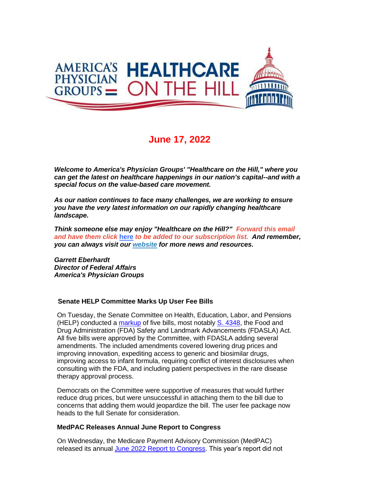

# **June 17, 2022**

*Welcome to America's Physician Groups' "Healthcare on the Hill," where you can get the latest on healthcare happenings in our nation's capital--and with a special focus on the value-based care movement.*

*As our nation continues to face many challenges, we are working to ensure you have the very latest information on our rapidly changing healthcare landscape.*

*Think someone else may enjoy "Healthcare on the Hill?" Forward this email and have them click* **[here](http://link.apg.org/c/7/eyJhaSI6Njk4MDUxNDQsImUiOiJncGhpbGxpcHNAYXBnLm9yZyIsInJpIjoiY29udGFjdC03YWMxOTAzZjFkYzVlYTExYTgxMjAwMGQzYTVhMTdlMy0xZTE0MmM5ZGY4MGQ0YzFhYWU5NTgxYWNhMzViMDNjMyIsInJxIjoiMDItYjIyMTY4LWE1NGVmN2RlZDU5ZjQzOWU4MTU3Yjk2MzFmYmIxY2RkIiwicGgiOm51bGwsIm0iOmZhbHNlLCJ1aSI6IjAiLCJ1biI6IiIsInUiOiJodHRwOi8vd2ViLmFwZy5vcmcvY24vYWVkbHcvc3Vic2NyaWJlP19jbGRlZT13Y2I1Q3RfVVVqS2lpekhFQ09idUdBaXp4RDlnVmxYdGtOejZ3YzdES1ZUNVlGQnR2TkJpWjRmZzBuRl9fUmhoJnJlY2lwaWVudGlkPWNvbnRhY3QtN2FjMTkwM2YxZGM1ZWExMWE4MTIwMDBkM2E1YTE3ZTMtMWUxNDJjOWRmODBkNGMxYWFlOTU4MWFjYTM1YjAzYzMmZXNpZD1mNGZiOGM3My1hM2VkLWVjMTEtYmIzZC0wMDBkM2EzMzRkMTcifQ/sRTa7gH2OOmiM4S_DTS1Pg)** *to be added to our subscription list. And remember, you can always visit our [website](http://link.apg.org/c/7/eyJhaSI6Njk4MDUxNDQsImUiOiJncGhpbGxpcHNAYXBnLm9yZyIsInJpIjoiY29udGFjdC03YWMxOTAzZjFkYzVlYTExYTgxMjAwMGQzYTVhMTdlMy0xZTE0MmM5ZGY4MGQ0YzFhYWU5NTgxYWNhMzViMDNjMyIsInJxIjoiMDItYjIyMTY4LWE1NGVmN2RlZDU5ZjQzOWU4MTU3Yjk2MzFmYmIxY2RkIiwicGgiOm51bGwsIm0iOmZhbHNlLCJ1aSI6IjEiLCJ1biI6IiIsInUiOiJodHRwOi8vd3d3LmFwZy5vcmc_X2NsZGVlPXdjYjVDdF9VVWpLaWl6SEVDT2J1R0FpenhEOWdWbFh0a056NndjN0RLVlQ1WUZCdHZOQmlaNGZnMG5GX19SaGgmcmVjaXBpZW50aWQ9Y29udGFjdC03YWMxOTAzZjFkYzVlYTExYTgxMjAwMGQzYTVhMTdlMy0xZTE0MmM5ZGY4MGQ0YzFhYWU5NTgxYWNhMzViMDNjMyZlc2lkPWY0ZmI4YzczLWEzZWQtZWMxMS1iYjNkLTAwMGQzYTMzNGQxNyJ9/CxBUvYDZtp7fQjE6lqA0-w) for more news and resources.* 

*Garrett Eberhardt Director of Federal Affairs America's Physician Groups*

# **Senate HELP Committee Marks Up User Fee Bills**

On Tuesday, the Senate Committee on Health, Education, Labor, and Pensions (HELP) conducted a [markup](http://link.apg.org/c/7/eyJhaSI6Njk4MDUxNDQsImUiOiJncGhpbGxpcHNAYXBnLm9yZyIsInJpIjoiY29udGFjdC03YWMxOTAzZjFkYzVlYTExYTgxMjAwMGQzYTVhMTdlMy0xZTE0MmM5ZGY4MGQ0YzFhYWU5NTgxYWNhMzViMDNjMyIsInJxIjoiMDItYjIyMTY4LWE1NGVmN2RlZDU5ZjQzOWU4MTU3Yjk2MzFmYmIxY2RkIiwicGgiOm51bGwsIm0iOmZhbHNlLCJ1aSI6IjIiLCJ1biI6IiIsInUiOiJodHRwczovL3d3dy5oZWxwLnNlbmF0ZS5nb3YvaGVhcmluZ3Mvcy00MzQ4LXMtOTU4LXMtNDM1My1oci0xMTkzLWFuZC1zLTQwNTM_X2NsZGVlPXdjYjVDdF9VVWpLaWl6SEVDT2J1R0FpenhEOWdWbFh0a056NndjN0RLVlQ1WUZCdHZOQmlaNGZnMG5GX19SaGgmcmVjaXBpZW50aWQ9Y29udGFjdC03YWMxOTAzZjFkYzVlYTExYTgxMjAwMGQzYTVhMTdlMy0xZTE0MmM5ZGY4MGQ0YzFhYWU5NTgxYWNhMzViMDNjMyZlc2lkPWY0ZmI4YzczLWEzZWQtZWMxMS1iYjNkLTAwMGQzYTMzNGQxNyJ9/mAlWaUjTnqk2ZbPAH16Ieg) of five bills, most notably [S. 4348,](http://link.apg.org/c/7/eyJhaSI6Njk4MDUxNDQsImUiOiJncGhpbGxpcHNAYXBnLm9yZyIsInJpIjoiY29udGFjdC03YWMxOTAzZjFkYzVlYTExYTgxMjAwMGQzYTVhMTdlMy0xZTE0MmM5ZGY4MGQ0YzFhYWU5NTgxYWNhMzViMDNjMyIsInJxIjoiMDItYjIyMTY4LWE1NGVmN2RlZDU5ZjQzOWU4MTU3Yjk2MzFmYmIxY2RkIiwicGgiOm51bGwsIm0iOmZhbHNlLCJ1aSI6IjMiLCJ1biI6IiIsInUiOiJodHRwczovL3d3dy5jb25ncmVzcy5nb3YvYmlsbC8xMTd0aC1jb25ncmVzcy9zZW5hdGUtYmlsbC80MzQ4P19jbGRlZT13Y2I1Q3RfVVVqS2lpekhFQ09idUdBaXp4RDlnVmxYdGtOejZ3YzdES1ZUNVlGQnR2TkJpWjRmZzBuRl9fUmhoJnJlY2lwaWVudGlkPWNvbnRhY3QtN2FjMTkwM2YxZGM1ZWExMWE4MTIwMDBkM2E1YTE3ZTMtMWUxNDJjOWRmODBkNGMxYWFlOTU4MWFjYTM1YjAzYzMmZXNpZD1mNGZiOGM3My1hM2VkLWVjMTEtYmIzZC0wMDBkM2EzMzRkMTcifQ/dDSBLHgOMcMtlKq1LSwukg) the Food and Drug Administration (FDA) Safety and Landmark Advancements (FDASLA) Act. All five bills were approved by the Committee, with FDASLA adding several amendments. The included amendments covered lowering drug prices and improving innovation, expediting access to generic and biosimilar drugs, improving access to infant formula, requiring conflict of interest disclosures when consulting with the FDA, and including patient perspectives in the rare disease therapy approval process.

Democrats on the Committee were supportive of measures that would further reduce drug prices, but were unsuccessful in attaching them to the bill due to concerns that adding them would jeopardize the bill. The user fee package now heads to the full Senate for consideration.

### **MedPAC Releases Annual June Report to Congress**

On Wednesday, the Medicare Payment Advisory Commission (MedPAC) released its annual [June 2022 Report to Congress.](http://link.apg.org/c/7/eyJhaSI6Njk4MDUxNDQsImUiOiJncGhpbGxpcHNAYXBnLm9yZyIsInJpIjoiY29udGFjdC03YWMxOTAzZjFkYzVlYTExYTgxMjAwMGQzYTVhMTdlMy0xZTE0MmM5ZGY4MGQ0YzFhYWU5NTgxYWNhMzViMDNjMyIsInJxIjoiMDItYjIyMTY4LWE1NGVmN2RlZDU5ZjQzOWU4MTU3Yjk2MzFmYmIxY2RkIiwicGgiOm51bGwsIm0iOmZhbHNlLCJ1aSI6IjQiLCJ1biI6IiIsInUiOiJodHRwczovL3IyMC5yczYubmV0L3RuLmpzcD9mPTAwMUlaak1hOGQ3MmlJOXd4dDQ3LWJhWnpvRkNGeFp2dE1aRHU3Y0t4RkdDUjNhcE5Wb29fSDMzUWI3WkNycVBlbU5taHFMN1RCYWRwN1g3alRhbUdvR1Rta1NaSXg1bWdfcFphSkcyU2dtMFl0bk5MWkdOM1hJRW9IdzJkWDc3RWhKRXVjLWVQeVRMVjBYR2wtNEF0M2FQUFY2TWZKTmVYSmhvcjhncGVtNjcxWXZoQktISXZGOUZFT3oyd1A5bkl1Ykk5dl9SZG5SeENSZ2Zod21XZkRQTzB3SExWZmEwcFpSQVYxQ1IwcU43RWFvZFhCQzJMWGlLdz09JmM9Q25pb2JlZjFsVmRsVHM1SnBmNjJidnpIMjdMVXlYZGpvMDdPN2dvb1htQ054aGtPVDg1akhRPT0mY2g9NHQwbnZYUUFFc1JFbXl2Z3NrSVk5NDVIY0pNS0pxUmlpZnl6eVZiYVQ1NzM2ZXpxMVcyVWtBPT0mX2NsZGVlPXdjYjVDdF9VVWpLaWl6SEVDT2J1R0FpenhEOWdWbFh0a056NndjN0RLVlQ1WUZCdHZOQmlaNGZnMG5GX19SaGgmcmVjaXBpZW50aWQ9Y29udGFjdC03YWMxOTAzZjFkYzVlYTExYTgxMjAwMGQzYTVhMTdlMy0xZTE0MmM5ZGY4MGQ0YzFhYWU5NTgxYWNhMzViMDNjMyZlc2lkPWY0ZmI4YzczLWEzZWQtZWMxMS1iYjNkLTAwMGQzYTMzNGQxNyJ9/j-Y1xo9v5xeuJjFDlkMa-w) This year's report did not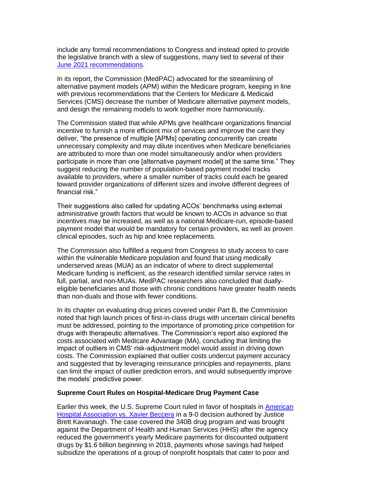include any formal recommendations to Congress and instead opted to provide the legislative branch with a slew of suggestions, many tied to several of their [June 2021 recommendations.](http://link.apg.org/c/7/eyJhaSI6Njk4MDUxNDQsImUiOiJncGhpbGxpcHNAYXBnLm9yZyIsInJpIjoiY29udGFjdC03YWMxOTAzZjFkYzVlYTExYTgxMjAwMGQzYTVhMTdlMy0xZTE0MmM5ZGY4MGQ0YzFhYWU5NTgxYWNhMzViMDNjMyIsInJxIjoiMDItYjIyMTY4LWE1NGVmN2RlZDU5ZjQzOWU4MTU3Yjk2MzFmYmIxY2RkIiwicGgiOm51bGwsIm0iOmZhbHNlLCJ1aSI6IjUiLCJ1biI6IiIsInUiOiJodHRwczovL3IyMC5yczYubmV0L3RuLmpzcD9mPTAwMUlaak1hOGQ3MmlJOXd4dDQ3LWJhWnpvRkNGeFp2dE1aRHU3Y0t4RkdDUjNhcE5Wb29fSDMzUWI3WkNycVBlbU5TaGdzdkJRRnA1anVFMF9XNTVrMGplaGJxeTJBTUU2eWRkb0ZWYWI3VGxZYVJXb1ZPRHRmTURxMGZDSnlUY1pVQWloQ2NfNFlOSjZjTDRzUmhSU0Nrb1pkQ2NrRzRNcVdJcmY1cVBJNGFNZmNsQjluZmZ1WFBJa09pMXc0amRqUkxjQU9tQ01DdWFlRi1oZ3R1WlBqZjVidnNDUElWLV9HSkdaaE9TM0JYLVhuMEVpRUUtczhfcTRLcTNmeWN4S0tCQlpwVnhnUjZFdkdfcWZOU3VjLVdNWDNtX0ZjSUJhNHRZSkFiVjZHTE1lMDF1R19raHRjVlE9PSZjPUNuaW9iZWYxbFZkbFRzNUpwZjYyYnZ6SDI3TFV5WGRqbzA3Tzdnb29YbUNOeGhrT1Q4NWpIUT09JmNoPTR0MG52WFFBRXNSRW15dmdza0lZOTQ1SGNKTUtKcVJpaWZ5enlWYmFUNTczNmV6cTFXMlVrQT09Jl9jbGRlZT13Y2I1Q3RfVVVqS2lpekhFQ09idUdBaXp4RDlnVmxYdGtOejZ3YzdES1ZUNVlGQnR2TkJpWjRmZzBuRl9fUmhoJnJlY2lwaWVudGlkPWNvbnRhY3QtN2FjMTkwM2YxZGM1ZWExMWE4MTIwMDBkM2E1YTE3ZTMtMWUxNDJjOWRmODBkNGMxYWFlOTU4MWFjYTM1YjAzYzMmZXNpZD1mNGZiOGM3My1hM2VkLWVjMTEtYmIzZC0wMDBkM2EzMzRkMTcifQ/YLGggmqpsKn2iooy_Iyfzg)

In its report, the Commission (MedPAC) advocated for the streamlining of alternative payment models (APM) within the Medicare program, keeping in line with previous recommendations that the Centers for Medicare & Medicaid Services (CMS) decrease the number of Medicare alternative payment models, and design the remaining models to work together more harmoniously.

The Commission stated that while APMs give healthcare organizations financial incentive to furnish a more efficient mix of services and improve the care they deliver, "the presence of multiple [APMs] operating concurrently can create unnecessary complexity and may dilute incentives when Medicare beneficiaries are attributed to more than one model simultaneously and/or when providers participate in more than one [alternative payment model] at the same time." They suggest reducing the number of population-based payment model tracks available to providers, where a smaller number of tracks could each be geared toward provider organizations of different sizes and involve different degrees of financial risk."

Their suggestions also called for updating ACOs' benchmarks using external administrative growth factors that would be known to ACOs in advance so that incentives may be increased, as well as a national Medicare-run, episode-based payment model that would be mandatory for certain providers, as well as proven clinical episodes, such as hip and knee replacements.

The Commission also fulfilled a request from Congress to study access to care within the vulnerable Medicare population and found that using medically underserved areas (MUA) as an indicator of where to direct supplemental Medicare funding is inefficient, as the research identified similar service rates in full, partial, and non-MUAs. MedPAC researchers also concluded that duallyeligible beneficiaries and those with chronic conditions have greater health needs than non-duals and those with fewer conditions.

In its chapter on evaluating drug prices covered under Part B, the Commission noted that high launch prices of first-in-class drugs with uncertain clinical benefits must be addressed, pointing to the importance of promoting price competition for drugs with therapeutic alternatives. The Commission's report also explored the costs associated with Medicare Advantage (MA), concluding that limiting the impact of outliers in CMS' risk-adjustment model would assist in driving down costs. The Commission explained that outlier costs undercut payment accuracy and suggested that by leveraging reinsurance principles and repayments, plans can limit the impact of outlier prediction errors, and would subsequently improve the models' predictive power.

### **Supreme Court Rules on Hospital-Medicare Drug Payment Case**

Earlier this week, the U.S. Supreme Court ruled in favor of hospitals in [American](http://link.apg.org/c/7/eyJhaSI6Njk4MDUxNDQsImUiOiJncGhpbGxpcHNAYXBnLm9yZyIsInJpIjoiY29udGFjdC03YWMxOTAzZjFkYzVlYTExYTgxMjAwMGQzYTVhMTdlMy0xZTE0MmM5ZGY4MGQ0YzFhYWU5NTgxYWNhMzViMDNjMyIsInJxIjoiMDItYjIyMTY4LWE1NGVmN2RlZDU5ZjQzOWU4MTU3Yjk2MzFmYmIxY2RkIiwicGgiOm51bGwsIm0iOmZhbHNlLCJ1aSI6IjYiLCJ1biI6IiIsInUiOiJodHRwczovL3d3dy5zdXByZW1lY291cnQuZ292L3NlYXJjaC5hc3B4P2ZpbGVuYW1lPS9kb2NrZXQvZG9ja2V0ZmlsZXMvaHRtbC9wdWJsaWMvMjAtMTExNC5odG1sJl9jbGRlZT13Y2I1Q3RfVVVqS2lpekhFQ09idUdBaXp4RDlnVmxYdGtOejZ3YzdES1ZUNVlGQnR2TkJpWjRmZzBuRl9fUmhoJnJlY2lwaWVudGlkPWNvbnRhY3QtN2FjMTkwM2YxZGM1ZWExMWE4MTIwMDBkM2E1YTE3ZTMtMWUxNDJjOWRmODBkNGMxYWFlOTU4MWFjYTM1YjAzYzMmZXNpZD1mNGZiOGM3My1hM2VkLWVjMTEtYmIzZC0wMDBkM2EzMzRkMTcifQ/dDNOTiIFBYRcNuz8Dozryg)  [Hospital Association vs. Xavier Beccera](http://link.apg.org/c/7/eyJhaSI6Njk4MDUxNDQsImUiOiJncGhpbGxpcHNAYXBnLm9yZyIsInJpIjoiY29udGFjdC03YWMxOTAzZjFkYzVlYTExYTgxMjAwMGQzYTVhMTdlMy0xZTE0MmM5ZGY4MGQ0YzFhYWU5NTgxYWNhMzViMDNjMyIsInJxIjoiMDItYjIyMTY4LWE1NGVmN2RlZDU5ZjQzOWU4MTU3Yjk2MzFmYmIxY2RkIiwicGgiOm51bGwsIm0iOmZhbHNlLCJ1aSI6IjYiLCJ1biI6IiIsInUiOiJodHRwczovL3d3dy5zdXByZW1lY291cnQuZ292L3NlYXJjaC5hc3B4P2ZpbGVuYW1lPS9kb2NrZXQvZG9ja2V0ZmlsZXMvaHRtbC9wdWJsaWMvMjAtMTExNC5odG1sJl9jbGRlZT13Y2I1Q3RfVVVqS2lpekhFQ09idUdBaXp4RDlnVmxYdGtOejZ3YzdES1ZUNVlGQnR2TkJpWjRmZzBuRl9fUmhoJnJlY2lwaWVudGlkPWNvbnRhY3QtN2FjMTkwM2YxZGM1ZWExMWE4MTIwMDBkM2E1YTE3ZTMtMWUxNDJjOWRmODBkNGMxYWFlOTU4MWFjYTM1YjAzYzMmZXNpZD1mNGZiOGM3My1hM2VkLWVjMTEtYmIzZC0wMDBkM2EzMzRkMTcifQ/dDNOTiIFBYRcNuz8Dozryg) in a 9-0 decision authored by Justice Brett Kavanaugh. The case covered the 340B drug program and was brought against the Department of Health and Human Services (HHS) after the agency reduced the government's yearly Medicare payments for discounted outpatient drugs by \$1.6 billion beginning in 2018, payments whose savings had helped subsidize the operations of a group of nonprofit hospitals that cater to poor and